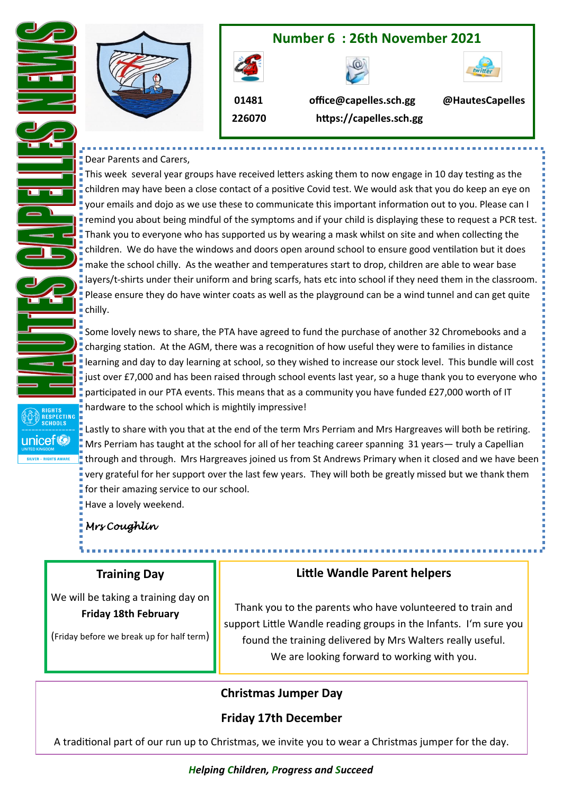

#### Dear Parents and Carers,

This week several year groups have received letters asking them to now engage in 10 day testing as the children may have been a close contact of a positive Covid test. We would ask that you do keep an eye on your emails and dojo as we use these to communicate this important information out to you. Please can I **Figure 1** remind you about being mindful of the symptoms and if your child is displaying these to request a PCR test. Thank you to everyone who has supported us by wearing a mask whilst on site and when collecting the children. We do have the windows and doors open around school to ensure good ventilation but it does make the school chilly. As the weather and temperatures start to drop, children are able to wear base layers/t-shirts under their uniform and bring scarfs, hats etc into school if they need them in the classroom. Please ensure they do have winter coats as well as the playground can be a wind tunnel and can get quite chilly.

Some lovely news to share, the PTA have agreed to fund the purchase of another 32 Chromebooks and a charging station. At the AGM, there was a recognition of how useful they were to families in distance learning and day to day learning at school, so they wished to increase our stock level. This bundle will cost just over £7,000 and has been raised through school events last year, so a huge thank you to everyone who participated in our PTA events. This means that as a community you have funded £27,000 worth of IT hardware to the school which is mightily impressive!

Lastly to share with you that at the end of the term Mrs Perriam and Mrs Hargreaves will both be retiring. Mrs Perriam has taught at the school for all of her teaching career spanning 31 years— truly a Capellian through and through. Mrs Hargreaves joined us from St Andrews Primary when it closed and we have been very grateful for her support over the last few years. They will both be greatly missed but we thank them for their amazing service to our school.

Have a lovely weekend.

## *Mrs Coughlin*

**SCHOOL** 

unicef<sup>®</sup>

## **Training Day**

We will be taking a training day on **Friday 18th February**

(Friday before we break up for half term)

## **Little Wandle Parent helpers**

Thank you to the parents who have volunteered to train and support Little Wandle reading groups in the Infants. I'm sure you found the training delivered by Mrs Walters really useful. We are looking forward to working with you.

## **Christmas Jumper Day**

## **Friday 17th December**

A traditional part of our run up to Christmas, we invite you to wear a Christmas jumper for the day.

#### *Helping Children, Progress and Succeed*